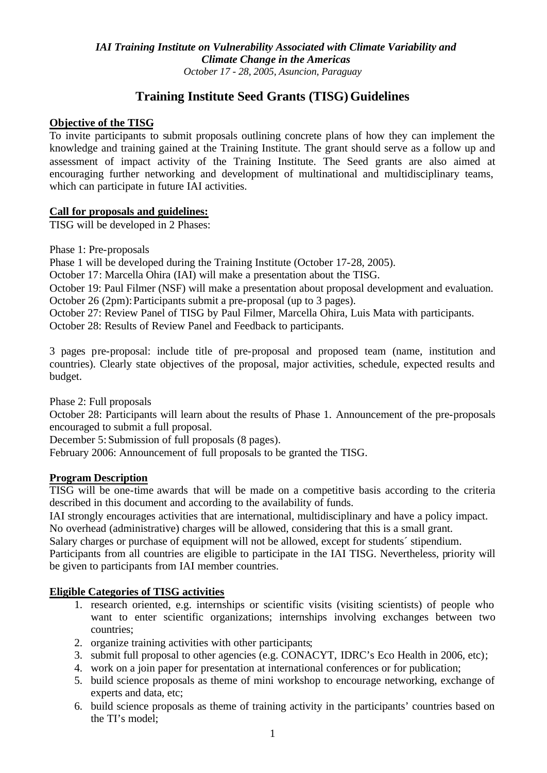# **Training Institute Seed Grants (TISG) Guidelines**

### **Objective of the TISG**

To invite participants to submit proposals outlining concrete plans of how they can implement the knowledge and training gained at the Training Institute. The grant should serve as a follow up and assessment of impact activity of the Training Institute. The Seed grants are also aimed at encouraging further networking and development of multinational and multidisciplinary teams, which can participate in future IAI activities.

### **Call for proposals and guidelines:**

TISG will be developed in 2 Phases:

Phase 1: Pre-proposals

Phase 1 will be developed during the Training Institute (October 17-28, 2005).

October 17: Marcella Ohira (IAI) will make a presentation about the TISG.

October 19: Paul Filmer (NSF) will make a presentation about proposal development and evaluation. October 26 (2pm): Participants submit a pre-proposal (up to 3 pages).

October 27: Review Panel of TISG by Paul Filmer, Marcella Ohira, Luis Mata with participants.

October 28: Results of Review Panel and Feedback to participants.

3 pages pre-proposal: include title of pre-proposal and proposed team (name, institution and countries). Clearly state objectives of the proposal, major activities, schedule, expected results and budget.

Phase 2: Full proposals

October 28: Participants will learn about the results of Phase 1. Announcement of the pre-proposals encouraged to submit a full proposal.

December 5: Submission of full proposals (8 pages).

February 2006: Announcement of full proposals to be granted the TISG.

### **Program Description**

TISG will be one-time awards that will be made on a competitive basis according to the criteria described in this document and according to the availability of funds.

IAI strongly encourages activities that are international, multidisciplinary and have a policy impact. No overhead (administrative) charges will be allowed, considering that this is a small grant.

Salary charges or purchase of equipment will not be allowed, except for students´ stipendium.

Participants from all countries are eligible to participate in the IAI TISG. Nevertheless, priority will be given to participants from IAI member countries.

### **Eligible Categories of TISG activities**

- 1. research oriented, e.g. internships or scientific visits (visiting scientists) of people who want to enter scientific organizations; internships involving exchanges between two countries;
- 2. organize training activities with other participants;
- 3. submit full proposal to other agencies (e.g. CONACYT, IDRC's Eco Health in 2006, etc);
- 4. work on a join paper for presentation at international conferences or for publication;
- 5. build science proposals as theme of mini workshop to encourage networking, exchange of experts and data, etc;
- 6. build science proposals as theme of training activity in the participants' countries based on the TI's model;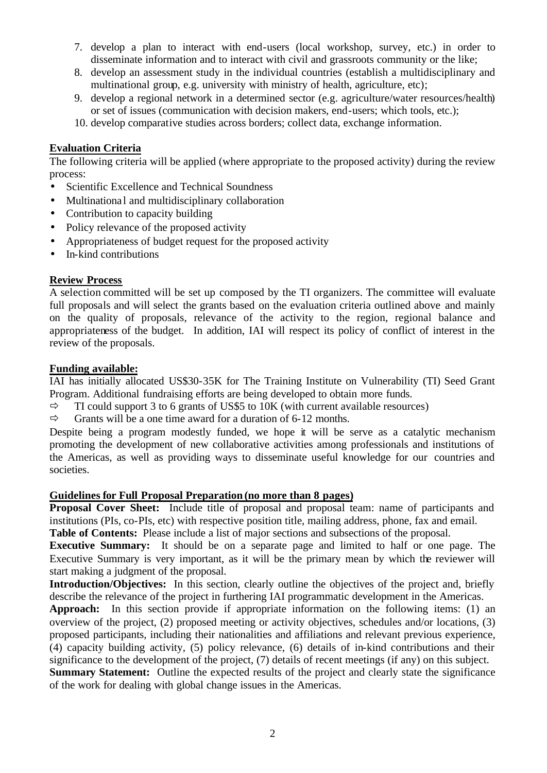- 7. develop a plan to interact with end-users (local workshop, survey, etc.) in order to disseminate information and to interact with civil and grassroots community or the like;
- 8. develop an assessment study in the individual countries (establish a multidisciplinary and multinational group, e.g. university with ministry of health, agriculture, etc);
- 9. develop a regional network in a determined sector (e.g. agriculture/water resources/health) or set of issues (communication with decision makers, end-users; which tools, etc.);
- 10. develop comparative studies across borders; collect data, exchange information.

## **Evaluation Criteria**

The following criteria will be applied (where appropriate to the proposed activity) during the review process:

- Scientific Excellence and Technical Soundness
- Multinational and multidisciplinary collaboration
- Contribution to capacity building
- Policy relevance of the proposed activity
- Appropriateness of budget request for the proposed activity
- In-kind contributions

### **Review Process**

A selection committed will be set up composed by the TI organizers. The committee will evaluate full proposals and will select the grants based on the evaluation criteria outlined above and mainly on the quality of proposals, relevance of the activity to the region, regional balance and appropriateness of the budget. In addition, IAI will respect its policy of conflict of interest in the review of the proposals.

### **Funding available:**

IAI has initially allocated US\$30-35K for The Training Institute on Vulnerability (TI) Seed Grant Program. Additional fundraising efforts are being developed to obtain more funds.

- $\Rightarrow$  TI could support 3 to 6 grants of US\$5 to 10K (with current available resources)
- $\Rightarrow$  Grants will be a one time award for a duration of 6-12 months.

Despite being a program modestly funded, we hope it will be serve as a catalytic mechanism promoting the development of new collaborative activities among professionals and institutions of the Americas, as well as providing ways to disseminate useful knowledge for our countries and societies.

### **Guidelines for Full Proposal Preparation (no more than 8 pages)**

**Proposal Cover Sheet:** Include title of proposal and proposal team: name of participants and institutions (PIs, co-PIs, etc) with respective position title, mailing address, phone, fax and email.

**Table of Contents:** Please include a list of major sections and subsections of the proposal.

**Executive Summary:** It should be on a separate page and limited to half or one page. The Executive Summary is very important, as it will be the primary mean by which the reviewer will start making a judgment of the proposal.

**Introduction/Objectives:** In this section, clearly outline the objectives of the project and, briefly describe the relevance of the project in furthering IAI programmatic development in the Americas.

**Approach:** In this section provide if appropriate information on the following items: (1) an overview of the project, (2) proposed meeting or activity objectives, schedules and/or locations, (3) proposed participants, including their nationalities and affiliations and relevant previous experience, (4) capacity building activity, (5) policy relevance, (6) details of in-kind contributions and their significance to the development of the project, (7) details of recent meetings (if any) on this subject.

**Summary Statement:** Outline the expected results of the project and clearly state the significance of the work for dealing with global change issues in the Americas.